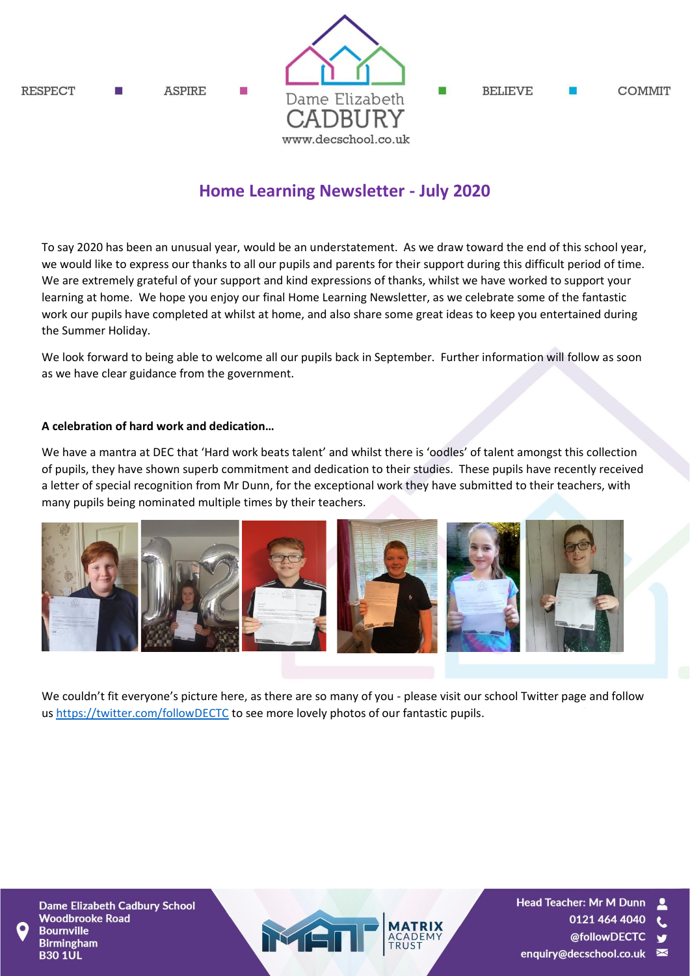**RESPECT ASPIRE** 



**BELIEVE COMMIT** 

# **Home Learning Newsletter - July 2020**

To say 2020 has been an unusual year, would be an understatement. As we draw toward the end of this school year, we would like to express our thanks to all our pupils and parents for their support during this difficult period of time. We are extremely grateful of your support and kind expressions of thanks, whilst we have worked to support your learning at home. We hope you enjoy our final Home Learning Newsletter, as we celebrate some of the fantastic work our pupils have completed at whilst at home, and also share some great ideas to keep you entertained during the Summer Holiday.

We look forward to being able to welcome all our pupils back in September. Further information will follow as soon as we have clear guidance from the government.

#### **A celebration of hard work and dedication…**

We have a mantra at DEC that 'Hard work beats talent' and whilst there is 'oodles' of talent amongst this collection of pupils, they have shown superb commitment and dedication to their studies. These pupils have recently received a letter of special recognition from Mr Dunn, for the exceptional work they have submitted to their teachers, with many pupils being nominated multiple times by their teachers.



We couldn't fit everyone's picture here, as there are so many of you - please visit our school Twitter page and follow u[s https://twitter.com/followDECTC](https://twitter.com/followDECTC) to see more lovely photos of our fantastic pupils.

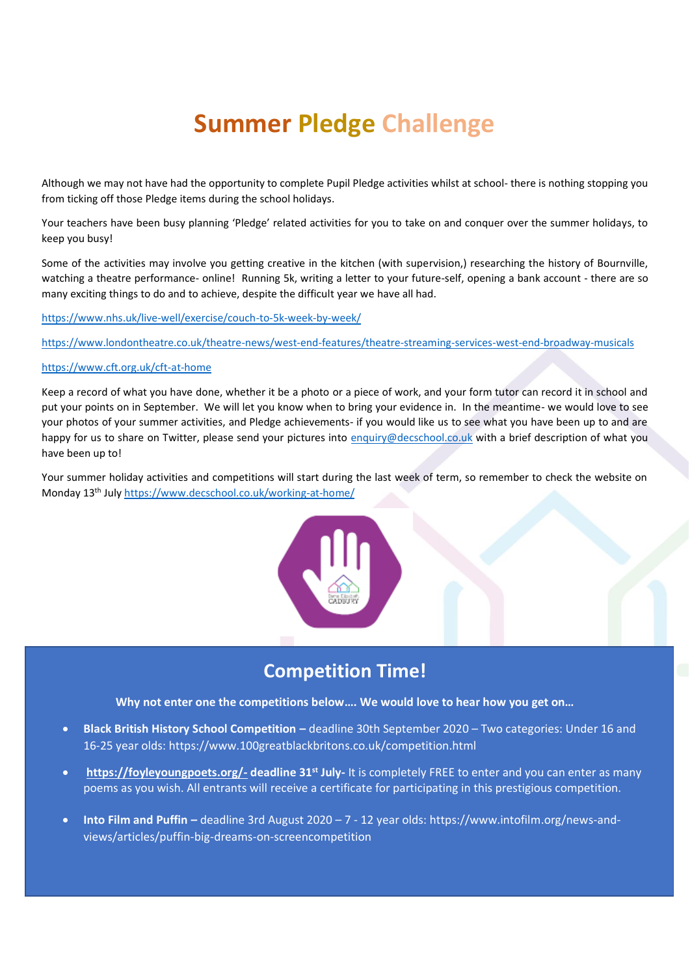# **Summer Pledge Challenge**

Although we may not have had the opportunity to complete Pupil Pledge activities whilst at school- there is nothing stopping you from ticking off those Pledge items during the school holidays.

Your teachers have been busy planning 'Pledge' related activities for you to take on and conquer over the summer holidays, to keep you busy!

Some of the activities may involve you getting creative in the kitchen (with supervision,) researching the history of Bournville, watching a theatre performance- online! Running 5k, writing a letter to your future-self, opening a bank account - there are so many exciting things to do and to achieve, despite the difficult year we have all had.

<https://www.nhs.uk/live-well/exercise/couch-to-5k-week-by-week/>

<https://www.londontheatre.co.uk/theatre-news/west-end-features/theatre-streaming-services-west-end-broadway-musicals>

#### <https://www.cft.org.uk/cft-at-home>

Keep a record of what you have done, whether it be a photo or a piece of work, and your form tutor can record it in school and put your points on in September. We will let you know when to bring your evidence in. In the meantime- we would love to see your photos of your summer activities, and Pledge achievements- if you would like us to see what you have been up to and are happy for us to share on Twitter, please send your pictures into [enquiry@decschool.co.uk](mailto:enquiry@decschool.co.uk) with a brief description of what you have been up to!

Your summer holiday activities and competitions will start during the last week of term, so remember to check the website on Monday 13th July <https://www.decschool.co.uk/working-at-home/>



# **Competition Time!**

**Why not enter one the competitions below…. We would love to hear how you get on…**

- **Black British History School Competition –** deadline 30th September 2020 Two categories: Under 16 and 16-25 year olds: https://www.100greatblackbritons.co.uk/competition.html
- **<https://foyleyoungpoets.org/-> deadline 31st July-** It is completely FREE to enter and you can enter as many poems as you wish. All entrants will receive a certificate for participating in this prestigious competition.
- **Into Film and Puffin –** deadline 3rd August 2020 7 12 year olds: https://www.intofilm.org/news-andviews/articles/puffin-big-dreams-on-screencompetition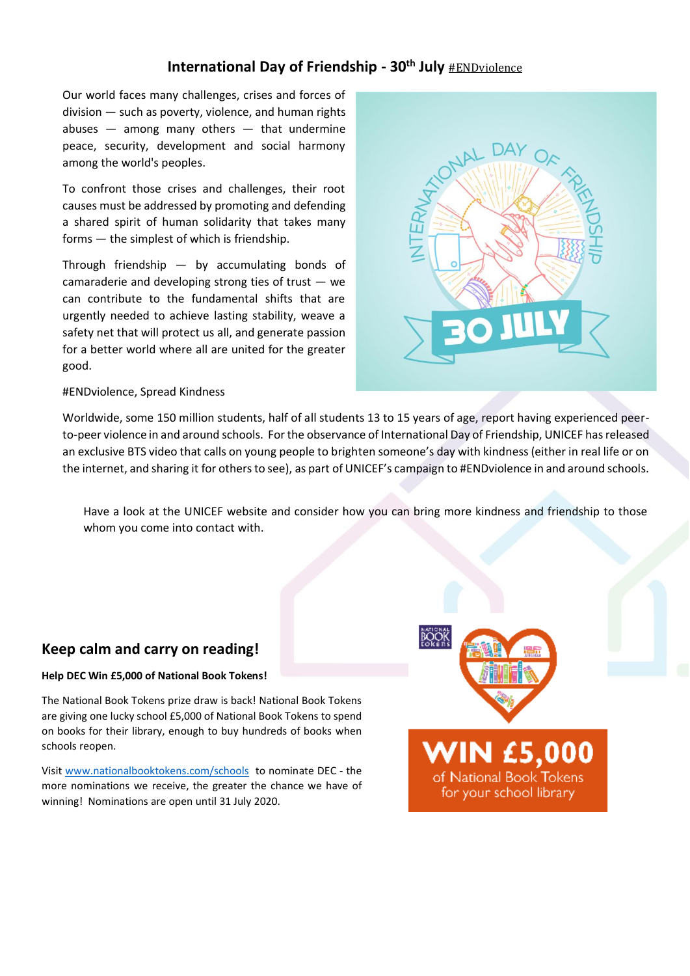## **International Day of Friendship - 30th July** [#ENDviolence](https://www.unicef.org/end-violence)

Our world faces many challenges, crises and forces of division — such as poverty, violence, and human rights abuses  $-$  among many others  $-$  that undermine peace, security, development and social harmony among the world's peoples.

To confront those crises and challenges, their root causes must be addressed by promoting and defending a shared spirit of human solidarity that takes many forms — the simplest of which is friendship.

Through friendship — by accumulating bonds of camaraderie and developing strong ties of trust  $-$  we can contribute to the fundamental shifts that are urgently needed to achieve lasting stability, weave a safety net that will protect us all, and generate passion for a better world where all are united for the greater good.



#### #ENDviolence, Spread Kindness

Worldwide, some 150 million students, half of all students 13 to 15 years of age, report having experienced peerto-peer violence in and around schools. For the observance of International Day of Friendship, UNICEF has released an exclusive BTS video that calls on young people to brighten someone's day with kindness (either in real life or on the internet, and sharing it for others to see), as part of UNICEF's campaign to #ENDviolence in and around schools.

Have a look at the UNICEF website and consider how you can bring more kindness and friendship to those whom you come into contact with.

## **Keep calm and carry on reading!**

#### **Help DEC Win £5,000 of National Book Tokens!**

The National Book Tokens prize draw is back! National Book Tokens are giving one lucky school £5,000 of National Book Tokens to spend on books for their library, enough to buy hundreds of books when schools reopen.

Visit [www.nationalbooktokens.com/schools](http://www.nationalbooktokens.com/schools) to nominate DEC - the more nominations we receive, the greater the chance we have of winning! Nominations are open until 31 July 2020.



**VIN £5,000** 

of National Book Tokens for your school library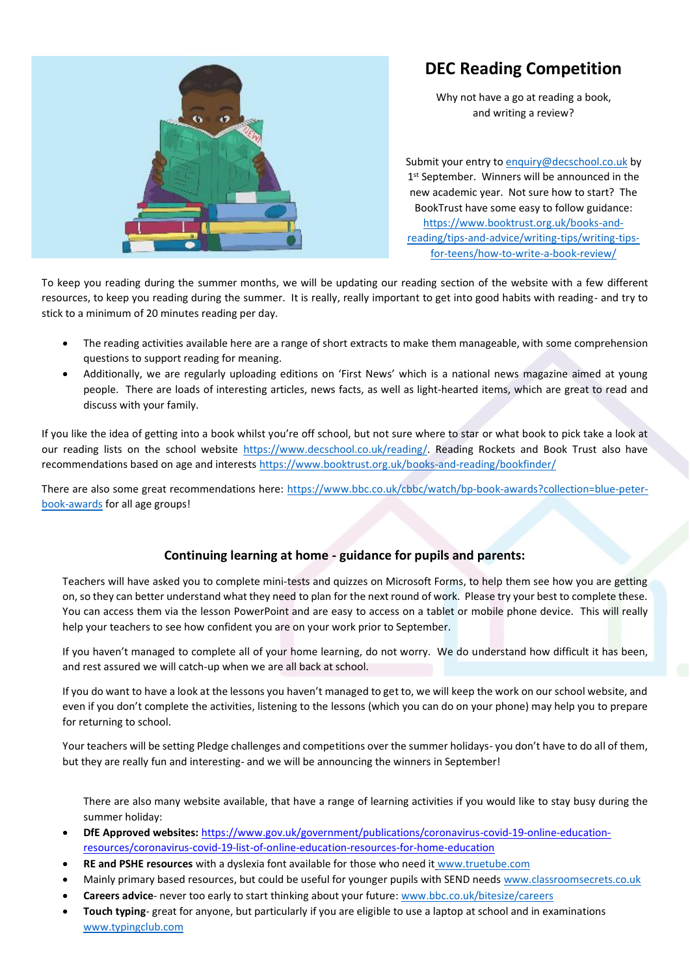# **DEC Reading Competition**



Why not have a go at reading a book, and writing a review?

Submit your entry t[o enquiry@decschool.co.uk](mailto:enquiry@decschool.co.uk) by 1<sup>st</sup> September. Winners will be announced in the new academic year. Not sure how to start? The BookTrust have some easy to follow guidance: [https://www.booktrust.org.uk/books-and](https://www.booktrust.org.uk/books-and-reading/tips-and-advice/writing-tips/writing-tips-for-teens/how-to-write-a-book-review/)[reading/tips-and-advice/writing-tips/writing-tips](https://www.booktrust.org.uk/books-and-reading/tips-and-advice/writing-tips/writing-tips-for-teens/how-to-write-a-book-review/)[for-teens/how-to-write-a-book-review/](https://www.booktrust.org.uk/books-and-reading/tips-and-advice/writing-tips/writing-tips-for-teens/how-to-write-a-book-review/)

To keep you reading during the summer months, we will be updating our reading section of the website with a few different resources, to keep you reading during the summer. It is really, really important to get into good habits with reading- and try to stick to a minimum of 20 minutes reading per day.

- The reading activities available here are a range of short extracts to make them manageable, with some comprehension questions to support reading for meaning.
- Additionally, we are regularly uploading editions on 'First News' which is a national news magazine aimed at young people. There are loads of interesting articles, news facts, as well as light-hearted items, which are great to read and discuss with your family.

If you like the idea of getting into a book whilst you're off school, but not sure where to star or what book to pick take a look at our reading lists on the school website [https://www.decschool.co.uk/reading/.](https://www.decschool.co.uk/reading/) Reading Rockets and Book Trust also have recommendations based on age and interests<https://www.booktrust.org.uk/books-and-reading/bookfinder/>

There are also some great recommendations here: [https://www.bbc.co.uk/cbbc/watch/bp-book-awards?collection=blue-peter](https://www.bbc.co.uk/cbbc/watch/bp-book-awards?collection=blue-peter-book-awards)[book-awards](https://www.bbc.co.uk/cbbc/watch/bp-book-awards?collection=blue-peter-book-awards) for all age groups!

#### **Continuing learning at home - guidance for pupils and parents:**

Teachers will have asked you to complete mini-tests and quizzes on Microsoft Forms, to help them see how you are getting on, so they can better understand what they need to plan for the next round of work. Please try your best to complete these. You can access them via the lesson PowerPoint and are easy to access on a tablet or mobile phone device. This will really help your teachers to see how confident you are on your work prior to September.

If you haven't managed to complete all of your home learning, do not worry. We do understand how difficult it has been, and rest assured we will catch-up when we are all back at school.

If you do want to have a look at the lessons you haven't managed to get to, we will keep the work on our school website, and even if you don't complete the activities, listening to the lessons (which you can do on your phone) may help you to prepare for returning to school.

Your teachers will be setting Pledge challenges and competitions over the summer holidays- you don't have to do all of them, but they are really fun and interesting- and we will be announcing the winners in September!

There are also many website available, that have a range of learning activities if you would like to stay busy during the summer holiday:

- **DfE Approved websites:** [https://www.gov.uk/government/publications/coronavirus-covid-19-online-education](https://www.gov.uk/government/publications/coronavirus-covid-19-online-education-resources/coronavirus-covid-19-list-of-online-education-resources-for-home-education)[resources/coronavirus-covid-19-list-of-online-education-resources-for-home-education](https://www.gov.uk/government/publications/coronavirus-covid-19-online-education-resources/coronavirus-covid-19-list-of-online-education-resources-for-home-education)
- **RE and PSHE resources** with a dyslexia font available for those who need it [www.truetube.com](http://www.truetube.com/)
- Mainly primary based resources, but could be useful for younger pupils with SEND need[s www.classroomsecrets.co.uk](http://www.classroomsecrets.co.uk/)
- **Careers advice** never too early to start thinking about your future[: www.bbc.co.uk/bitesize/careers](http://www.bbc.co.uk/bitesize/careers)
- **Touch typing** great for anyone, but particularly if you are eligible to use a laptop at school and in examinations [www.typingclub.com](http://www.typingclub.com/)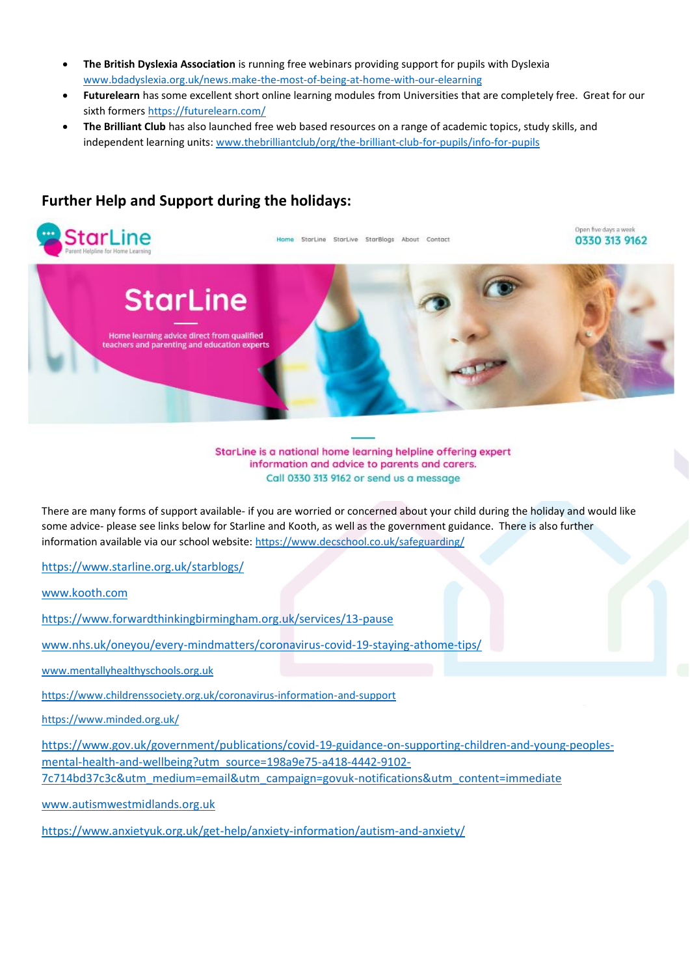- **The British Dyslexia Association** is running free webinars providing support for pupils with Dyslexia [www.bdadyslexia.org.uk/news.make-the-most-of-being-at-home-with-our-elearning](http://www.bdadyslexia.org.uk/news.make-the-most-of-being-at-home-with-our-elearning)
- **Futurelearn** has some excellent short online learning modules from Universities that are completely free. Great for our sixth formers<https://futurelearn.com/>
- **The Brilliant Club** has also launched free web based resources on a range of academic topics, study skills, and independent learning units[: www.thebrilliantclub/org/the-brilliant-club-for-pupils/info-for-pupils](http://www.thebrilliantclub/org/the-brilliant-club-for-pupils/info-for-pupils)



## **Further Help and Support during the holidays:**

StarLine is a national home learning helpline offering expert information and advice to parents and carers. Call 0330 313 9162 or send us a message

There are many forms of support available- if you are worried or concerned about your child during the holiday and would like some advice- please see links below for Starline and Kooth, as well as the government guidance. There is also further information available via our school website:<https://www.decschool.co.uk/safeguarding/>

<https://www.starline.org.uk/starblogs/>

[www.kooth.com](http://www.kooth.com/)

<https://www.forwardthinkingbirmingham.org.uk/services/13-pause>

[www.nhs.uk/oneyou/every-mindmatters/coronavirus-covid-19-staying-athome-tips/](http://www.nhs.uk/oneyou/every-mindmatters/coronavirus-covid-19-staying-athome-tips/)

[www.mentallyhealthyschools.org.uk](http://www.mentallyhealthyschools.org.uk/)

<https://www.childrenssociety.org.uk/coronavirus-information-and-support>

<https://www.minded.org.uk/>

[https://www.gov.uk/government/publications/covid-19-guidance-on-supporting-children-and-young-peoples](https://www.gov.uk/government/publications/covid-19-guidance-on-supporting-children-and-young-peoples-mental-health-and-wellbeing?utm_source=198a9e75-a418-4442-9102-7c714bd37c3c&utm_medium=email&utm_campaign=govuk-notifications&utm_content=immediate)[mental-health-and-wellbeing?utm\\_source=198a9e75-a418-4442-9102-](https://www.gov.uk/government/publications/covid-19-guidance-on-supporting-children-and-young-peoples-mental-health-and-wellbeing?utm_source=198a9e75-a418-4442-9102-7c714bd37c3c&utm_medium=email&utm_campaign=govuk-notifications&utm_content=immediate)

[7c714bd37c3c&utm\\_medium=email&utm\\_campaign=govuk-notifications&utm\\_content=immediate](https://www.gov.uk/government/publications/covid-19-guidance-on-supporting-children-and-young-peoples-mental-health-and-wellbeing?utm_source=198a9e75-a418-4442-9102-7c714bd37c3c&utm_medium=email&utm_campaign=govuk-notifications&utm_content=immediate)

[www.autismwestmidlands.org.uk](http://www.autismwestmidlands.org.uk/)

https://www.anxietyuk.org.uk/get-help/anxiety-information/autism-and-anxiety/